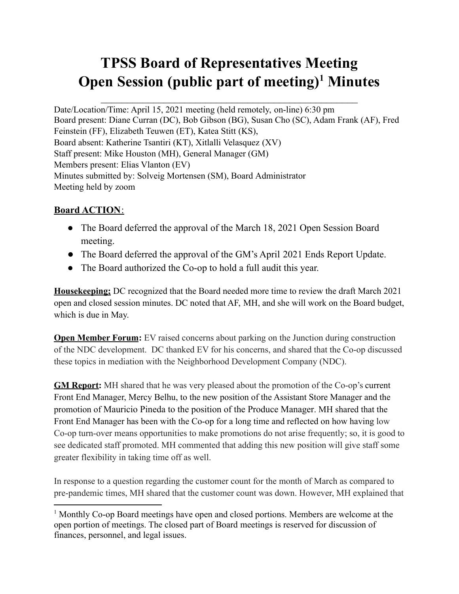# **TPSS Board of Representatives Meeting Open Session (public part of meeting) <sup>1</sup> Minutes**

Date/Location/Time: April 15, 2021 meeting (held remotely, on-line) 6:30 pm Board present: Diane Curran (DC), Bob Gibson (BG), Susan Cho (SC), Adam Frank (AF), Fred Feinstein (FF), Elizabeth Teuwen (ET), Katea Stitt (KS), Board absent: Katherine Tsantiri (KT), Xitlalli Velasquez (XV) Staff present: Mike Houston (MH), General Manager (GM) Members present: Elias Vlanton (EV) Minutes submitted by: Solveig Mortensen (SM), Board Administrator Meeting held by zoom

## **Board ACTION**:

- The Board deferred the approval of the March 18, 2021 Open Session Board meeting.
- The Board deferred the approval of the GM's April 2021 Ends Report Update.
- The Board authorized the Co-op to hold a full audit this year.

**Housekeeping;** DC recognized that the Board needed more time to review the draft March 2021 open and closed session minutes. DC noted that AF, MH, and she will work on the Board budget, which is due in May.

**Open Member Forum:** EV raised concerns about parking on the Junction during construction of the NDC development. DC thanked EV for his concerns, and shared that the Co-op discussed these topics in mediation with the Neighborhood Development Company (NDC).

**GM Report:** MH shared that he was very pleased about the promotion of the Co-op's current Front End Manager, Mercy Belhu, to the new position of the Assistant Store Manager and the promotion of Mauricio Pineda to the position of the Produce Manager. MH shared that the Front End Manager has been with the Co-op for a long time and reflected on how having low Co-op turn-over means opportunities to make promotions do not arise frequently; so, it is good to see dedicated staff promoted. MH commented that adding this new position will give staff some greater flexibility in taking time off as well.

In response to a question regarding the customer count for the month of March as compared to pre-pandemic times, MH shared that the customer count was down. However, MH explained that

<sup>1</sup> Monthly Co-op Board meetings have open and closed portions. Members are welcome at the open portion of meetings. The closed part of Board meetings is reserved for discussion of finances, personnel, and legal issues.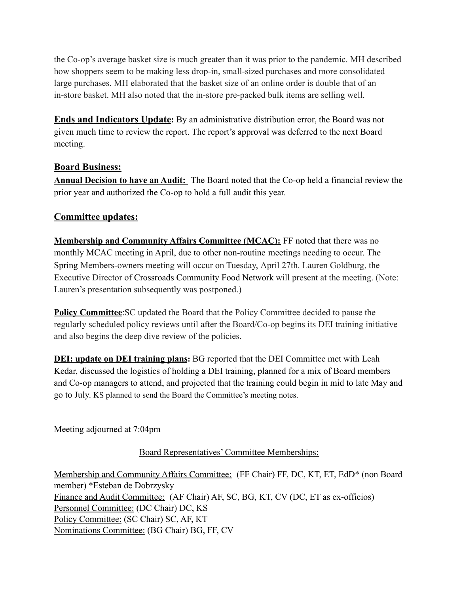the Co-op's average basket size is much greater than it was prior to the pandemic. MH described how shoppers seem to be making less drop-in, small-sized purchases and more consolidated large purchases. MH elaborated that the basket size of an online order is double that of an in-store basket. MH also noted that the in-store pre-packed bulk items are selling well.

**Ends and Indicators Update:** By an administrative distribution error, the Board was not given much time to review the report. The report's approval was deferred to the next Board meeting.

## **Board Business:**

**Annual Decision to have an Audit:** The Board noted that the Co-op held a financial review the prior year and authorized the Co-op to hold a full audit this year.

## **Committee updates:**

**Membership and Community Affairs Committee (MCAC):** FF noted that there was no monthly MCAC meeting in April, due to other non-routine meetings needing to occur. The Spring Members-owners meeting will occur on Tuesday, April 27th. Lauren Goldburg, the Executive Director of Crossroads Community Food Network will present at the meeting. (Note: Lauren's presentation subsequently was postponed.)

**Policy Committee:** SC updated the Board that the Policy Committee decided to pause the regularly scheduled policy reviews until after the Board/Co-op begins its DEI training initiative and also begins the deep dive review of the policies.

**DEI: update on DEI training plans:** BG reported that the DEI Committee met with Leah Kedar, discussed the logistics of holding a DEI training, planned for a mix of Board members and Co-op managers to attend, and projected that the training could begin in mid to late May and go to July. KS planned to send the Board the Committee's meeting notes.

Meeting adjourned at 7:04pm

#### Board Representatives' Committee Memberships:

Membership and Community Affairs Committee: (FF Chair) FF, DC, KT, ET, EdD\* (non Board member) \*Esteban de Dobrzysky Finance and Audit Committee: (AF Chair) AF, SC, BG, KT, CV (DC, ET as ex-officios) Personnel Committee: (DC Chair) DC, KS Policy Committee: (SC Chair) SC, AF, KT Nominations Committee: (BG Chair) BG, FF, CV